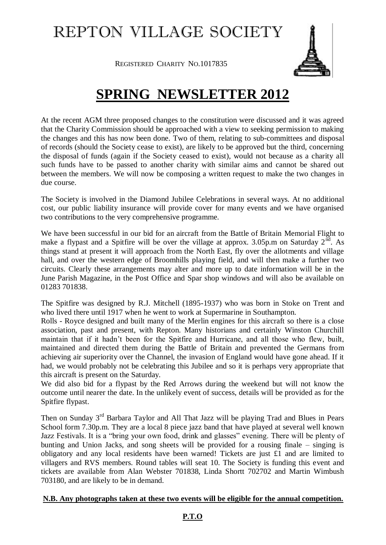# REPTON VILLAGE SOCIETY

REGISTERED CHARITY NO.1017835

## **SPRING NEWSLETTER 2012**

At the recent AGM three proposed changes to the constitution were discussed and it was agreed that the Charity Commission should be approached with a view to seeking permission to making the changes and this has now been done. Two of them, relating to sub-committees and disposal of records (should the Society cease to exist), are likely to be approved but the third, concerning the disposal of funds (again if the Society ceased to exist), would not because as a charity all such funds have to be passed to another charity with similar aims and cannot be shared out between the members. We will now be composing a written request to make the two changes in due course.

The Society is involved in the Diamond Jubilee Celebrations in several ways. At no additional cost, our public liability insurance will provide cover for many events and we have organised two contributions to the very comprehensive programme.

We have been successful in our bid for an aircraft from the Battle of Britain Memorial Flight to make a flypast and a Spitfire will be over the village at approx.  $3.05$ p.m on Saturday  $2<sup>nd</sup>$ . As things stand at present it will approach from the North East, fly over the allotments and village hall, and over the western edge of Broomhills playing field, and will then make a further two circuits. Clearly these arrangements may alter and more up to date information will be in the June Parish Magazine, in the Post Office and Spar shop windows and will also be available on 01283 701838.

The Spitfire was designed by R.J. Mitchell (1895-1937) who was born in Stoke on Trent and who lived there until 1917 when he went to work at Supermarine in Southampton.

Rolls - Royce designed and built many of the Merlin engines for this aircraft so there is a close association, past and present, with Repton. Many historians and certainly Winston Churchill maintain that if it hadn't been for the Spitfire and Hurricane, and all those who flew, built, maintained and directed them during the Battle of Britain and prevented the Germans from achieving air superiority over the Channel, the invasion of England would have gone ahead. If it had, we would probably not be celebrating this Jubilee and so it is perhaps very appropriate that this aircraft is present on the Saturday.

We did also bid for a flypast by the Red Arrows during the weekend but will not know the outcome until nearer the date. In the unlikely event of success, details will be provided as for the Spitfire flypast.

Then on Sunday 3<sup>rd</sup> Barbara Taylor and All That Jazz will be playing Trad and Blues in Pears School form 7.30p.m. They are a local 8 piece jazz band that have played at several well known Jazz Festivals. It is a "bring your own food, drink and glasses" evening. There will be plenty of bunting and Union Jacks, and song sheets will be provided for a rousing finale – singing is obligatory and any local residents have been warned! Tickets are just £1 and are limited to villagers and RVS members. Round tables will seat 10. The Society is funding this event and tickets are available from Alan Webster 701838, Linda Shortt 702702 and Martin Wimbush 703180, and are likely to be in demand.

#### **N.B. Any photographs taken at these two events will be eligible for the annual competition.**

### **P.T.O**